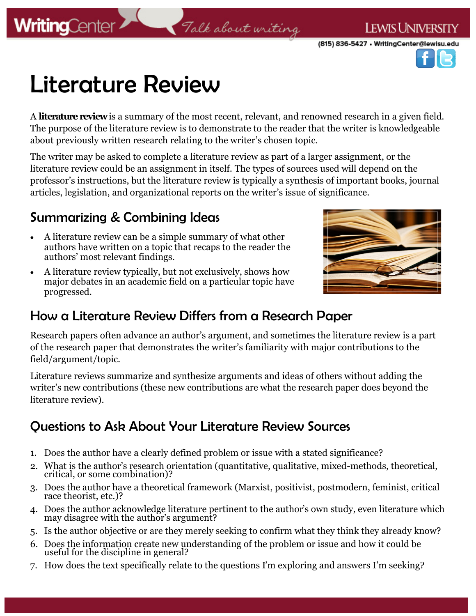

# Literature Review

A **literature review**is a summary of the most recent, relevant, and renowned research in a given field. The purpose of the literature review is to demonstrate to the reader that the writer is knowledgeable about previously written research relating to the writer's chosen topic.

Talk about writing

The writer may be asked to complete a literature review as part of a larger assignment, or the literature review could be an assignment in itself. The types of sources used will depend on the professor's instructions, but the literature review is typically a synthesis of important books, journal articles, legislation, and organizational reports on the writer's issue of significance.

### Summarizing & Combining Ideas

- A literature review can be a simple summary of what other authors have written on a topic that recaps to the reader the authors' most relevant findings.
- A literature review typically, but not exclusively, shows how major debates in an academic field on a particular topic have progressed.



### How a Literature Review Differs from a Research Paper

Research papers often advance an author's argument, and sometimes the literature review is a part of the research paper that demonstrates the writer's familiarity with major contributions to the field/argument/topic.

Literature reviews summarize and synthesize arguments and ideas of others without adding the writer's new contributions (these new contributions are what the research paper does beyond the literature review).

### Questions to Ask About Your Literature Review Sources

- 1. Does the author have a clearly defined problem or issue with a stated significance?
- 2. What is the author's research orientation (quantitative, qualitative, mixed-methods, theoretical, critical, or some combination)?
- 3. Does the author have a theoretical framework (Marxist, positivist, postmodern, feminist, critical race theorist, etc.)?
- 4. Does the author acknowledge literature pertinent to the author's own study, even literature which may disagree with the author's argument?
- 5. Is the author objective or are they merely seeking to confirm what they think they already know?
- 6. Does the information create new understanding of the problem or issue and how it could be useful for the discipline in general?
- 7. How does the text specifically relate to the questions I'm exploring and answers I'm seeking?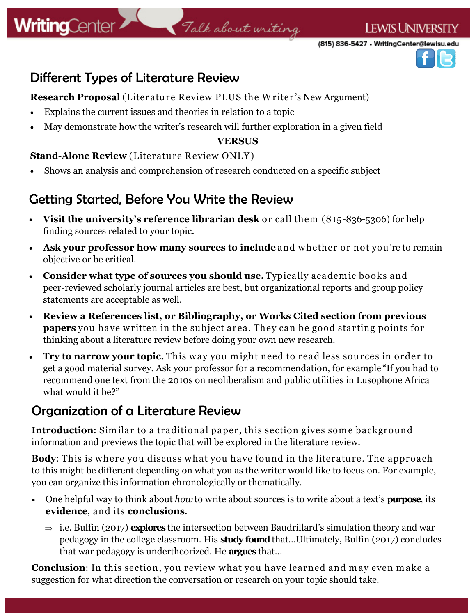# Talk about writing

**LEWIS UNIVERSITY** 



### Different Types of Literature Review

**Research Proposal** (Literature Review PLUS the W riter 's New Argument)

- Explains the current issues and theories in relation to a topic
- May demonstrate how the writer's research will further exploration in a given field

#### **VERSUS**

#### **Stand-Alone Review** (Literature Review ONLY)

Shows an analysis and comprehension of research conducted on a specific subject

### Getting Started, Before You Write the Review

- **Visit the university's reference librarian desk** or call them (815-836-5306) for help finding sources related to your topic.
- **Ask your professor how many sources to include** and w hether or not you're to remain objective or be critical.
- **Consider what type of sources you should use.** Typically academic books and peer-reviewed scholarly journal articles are best, but organizational reports and group policy statements are acceptable as well.
- **Review a References list, or Bibliography, or Works Cited section from previous papers** you have written in the subject area. They can be good starting points for thinking about a literature review before doing your own new research.
- Try to narrow your topic. This way you might need to read less sources in order to get a good material survey. Ask your professor for a recommendation, for example "If you had to recommend one text from the 2010s on neoliberalism and public utilities in Lusophone Africa what would it be?"

### Organization of a Literature Review

**Introduction**: Similar to a traditional paper, this section gives some background information and previews the topic that will be explored in the literature review.

**Body**: This is where you discuss what you have found in the literature. The approach to this might be different depending on what you as the writer would like to focus on. For example, you can organize this information chronologically or thematically.

- One helpful way to think about *how* to write about sources is to write about a text's **purpose**, its **evidence**, and its **conclusions**.
	- $\Rightarrow$  i.e. Bulfin (2017) **explores** the intersection between Baudrillard's simulation theory and war pedagogy in the college classroom. His **study found** that...Ultimately, Bulfin (2017) concludes that war pedagogy is undertheorized. He **argues** that...

**Conclusion**: In this section, you review what you have learned and may even make a suggestion for what direction the conversation or research on your topic should take.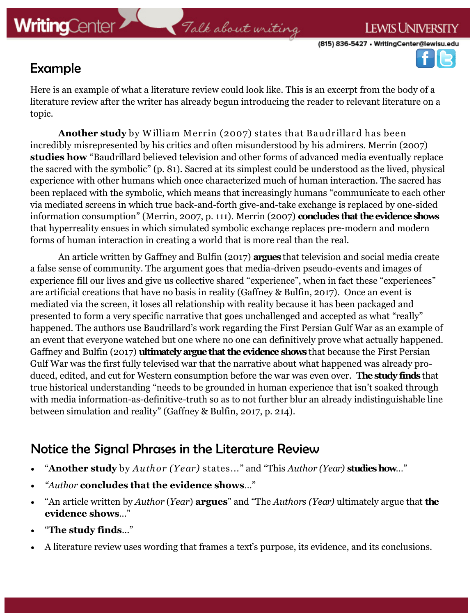

### Example

Here is an example of what a literature review could look like. This is an excerpt from the body of a literature review after the writer has already begun introducing the reader to relevant literature on a topic.

**Another study** by W illiam Merrin (2007) states that Baudrillard has been incredibly misrepresented by his critics and often misunderstood by his admirers. Merrin (2007) **studies how** "Baudrillard believed television and other forms of advanced media eventually replace the sacred with the symbolic" (p. 81). Sacred at its simplest could be understood as the lived, physical experience with other humans which once characterized much of human interaction. The sacred has been replaced with the symbolic, which means that increasingly humans "communicate to each other via mediated screens in which true back-and-forth give-and-take exchange is replaced by one-sided information consumption" (Merrin, 2007, p. 111). Merrin (2007) **concludes that the evidence shows**  that hyperreality ensues in which simulated symbolic exchange replaces pre-modern and modern forms of human interaction in creating a world that is more real than the real.

An article written by Gaffney and Bulfin (2017) **argues** that television and social media create a false sense of community. The argument goes that media-driven pseudo-events and images of experience fill our lives and give us collective shared "experience", when in fact these "experiences" are artificial creations that have no basis in reality (Gaffney & Bulfin, 2017). Once an event is mediated via the screen, it loses all relationship with reality because it has been packaged and presented to form a very specific narrative that goes unchallenged and accepted as what "really" happened. The authors use Baudrillard's work regarding the First Persian Gulf War as an example of an event that everyone watched but one where no one can definitively prove what actually happened. Gaffney and Bulfin (2017) **ultimately argue that the evidence shows** that because the First Persian Gulf War was the first fully televised war that the narrative about what happened was already produced, edited, and cut for Western consumption before the war was even over. **The study finds** that true historical understanding "needs to be grounded in human experience that isn't soaked through with media information-as-definitive-truth so as to not further blur an already indistinguishable line between simulation and reality" (Gaffney & Bulfin, 2017, p. 214).

### Notice the Signal Phrases in the Literature Review

- "**Another study** by *Author (Year)* states..." and "This *Author (Year)* **studies how**…"
- *"Author* **concludes that the evidence shows**…"
- "An article written by *Author* (*Year*) **argues**" and "The *Authors (Year)* ultimately argue that **the evidence shows**…"
- "**The study finds**..."
- A literature review uses wording that frames a text's purpose, its evidence, and its conclusions.